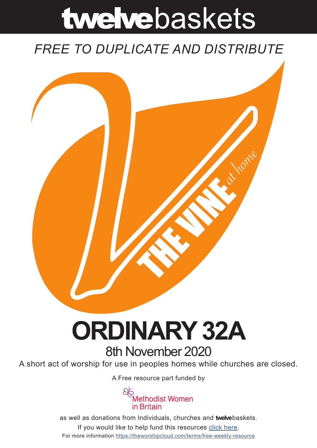# twelvebaskets

### *FREE TO DUPLICATE AND DISTRIBUTE*



## **ORDINARY 32A** 8th November 2020

A short act of worship for use in peoples homes while churches are closed.

A [Free resource part funded](https://mwib.org.uk) by



as well as donations from Individuals, churches and **twelve**baskets. If you would like to help fund this resources [click here]( https://theworshipcloud.com/tags/donation). For more information<https://theworshipcloud.com/terms/free-weekly-resource>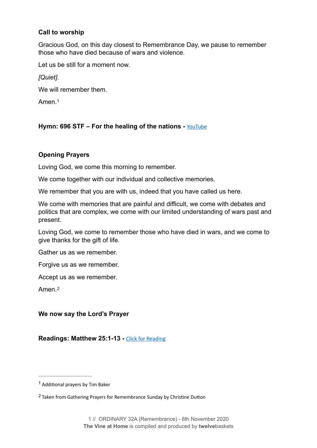#### **Call to worship**

Gracious God, on this day closest to Remembrance Day, we pause to remember those who have died because of wars and violence.

Let us be still for a moment now.

*[Quiet]*.

We will remember them.

<span id="page-1-2"></span>Amen.[1](#page-1-0)

#### **Hymn: 696 STF – For the healing of the nations - [YouTube](https://www.youtube.com/watch?v=QgWsjmgd0GA)**

#### **Opening Prayers**

Loving God, we come this morning to remember.

We come together with our individual and collective memories.

We remember that you are with us, indeed that you have called us here.

We come with memories that are painful and difficult, we come with debates and politics that are complex, we come with our limited understanding of wars past and present.

Loving God, we come to remember those who have died in wars, and we come to give thanks for the gift of life.

Gather us as we remember.

Forgive us as we remember.

Accept us as we remember.

<span id="page-1-3"></span>Amen.*[2](#page-1-1)*

#### **We now say the Lord's Prayer**

**Readings: Matthew 25:1-13 -** [Click for Reading](https://www.biblegateway.com/passage/?search=Matthew+25:1-13&version=NRSV)

<span id="page-1-0"></span> $1$  Additional prayers by Tim Baker

<span id="page-1-1"></span><sup>&</sup>lt;sup>[2](#page-1-3)</sup> Taken from Gathering Prayers for Remembrance Sunday by Christine Dutton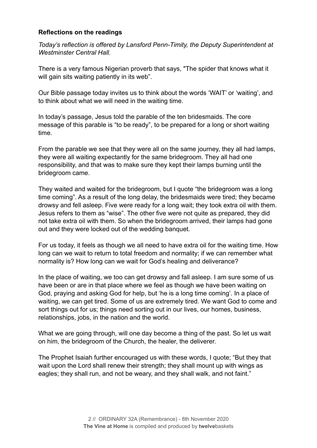#### **Reflections on the readings**

*Today's reflection is offered by Lansford Penn-Timity, the Deputy Superintendent at Westminster Central Hall.* 

There is a very famous Nigerian proverb that says, "The spider that knows what it will gain sits waiting patiently in its web".

Our Bible passage today invites us to think about the words 'WAIT' or 'waiting', and to think about what we will need in the waiting time.

In today's passage, Jesus told the parable of the ten bridesmaids. The core message of this parable is "to be ready", to be prepared for a long or short waiting time.

From the parable we see that they were all on the same journey, they all had lamps, they were all waiting expectantly for the same bridegroom. They all had one responsibility, and that was to make sure they kept their lamps burning until the bridegroom came.

They waited and waited for the bridegroom, but I quote "the bridegroom was a long time coming". As a result of the long delay, the bridesmaids were tired; they became drowsy and fell asleep. Five were ready for a long wait; they took extra oil with them. Jesus refers to them as "wise". The other five were not quite as prepared, they did not take extra oil with them. So when the bridegroom arrived, their lamps had gone out and they were locked out of the wedding banquet.

For us today, it feels as though we all need to have extra oil for the waiting time. How long can we wait to return to total freedom and normality; if we can remember what normality is? How long can we wait for God's healing and deliverance?

In the place of waiting, we too can get drowsy and fall asleep. I am sure some of us have been or are in that place where we feel as though we have been waiting on God, praying and asking God for help, but 'he is a long time coming'. In a place of waiting, we can get tired. Some of us are extremely tired. We want God to come and sort things out for us; things need sorting out in our lives, our homes, business, relationships, jobs, in the nation and the world.

What we are going through, will one day become a thing of the past. So let us wait on him, the bridegroom of the Church, the healer, the deliverer.

The Prophet Isaiah further encouraged us with these words, I quote; "But they that wait upon the Lord shall renew their strength; they shall mount up with wings as eagles; they shall run, and not be weary, and they shall walk, and not faint."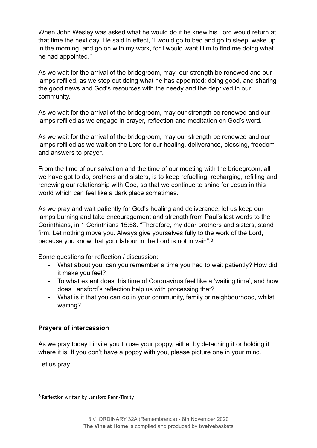When John Wesley was asked what he would do if he knew his Lord would return at that time the next day. He said in effect, "I would go to bed and go to sleep; wake up in the morning, and go on with my work, for I would want Him to find me doing what he had appointed."

As we wait for the arrival of the bridegroom, may our strength be renewed and our lamps refilled, as we step out doing what he has appointed; doing good, and sharing the good news and God's resources with the needy and the deprived in our community.

As we wait for the arrival of the bridegroom, may our strength be renewed and our lamps refilled as we engage in prayer, reflection and meditation on God's word.

As we wait for the arrival of the bridegroom, may our strength be renewed and our lamps refilled as we wait on the Lord for our healing, deliverance, blessing, freedom and answers to prayer.

From the time of our salvation and the time of our meeting with the bridegroom, all we have got to do, brothers and sisters, is to keep refuelling, recharging, refilling and renewing our relationship with God, so that we continue to shine for Jesus in this world which can feel like a dark place sometimes.

As we pray and wait patiently for God's healing and deliverance, let us keep our lamps burning and take encouragement and strength from Paul's last words to the Corinthians, in 1 Corinthians 15:58. "Therefore, my dear brothers and sisters, stand firm. Let nothing move you. Always give yourselves fully to the work of the Lord, because you know that your labour in the Lord is not in vain".[3](#page-3-0)

Some questions for reflection / discussion:

- <span id="page-3-1"></span>- What about you, can you remember a time you had to wait patiently? How did it make you feel?
- To what extent does this time of Coronavirus feel like a 'waiting time', and how does Lansford's reflection help us with processing that?
- What is it that you can do in your community, family or neighbourhood, whilst waiting?

#### **Prayers of intercession**

As we pray today I invite you to use your poppy, either by detaching it or holding it where it is. If you don't have a poppy with you, please picture one in your mind.

Let us pray.

<span id="page-3-0"></span> $3$  Reflection written by Lansford Penn-Timity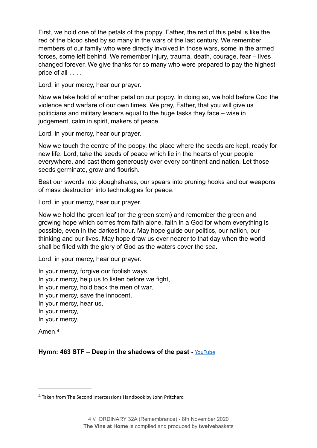First, we hold one of the petals of the poppy. Father, the red of this petal is like the red of the blood shed by so many in the wars of the last century. We remember members of our family who were directly involved in those wars, some in the armed forces, some left behind. We remember injury, trauma, death, courage, fear – lives changed forever. We give thanks for so many who were prepared to pay the highest price of all . . . .

Lord, in your mercy, hear our prayer.

Now we take hold of another petal on our poppy. In doing so, we hold before God the violence and warfare of our own times. We pray, Father, that you will give us politicians and military leaders equal to the huge tasks they face – wise in judgement, calm in spirit, makers of peace.

Lord, in your mercy, hear our prayer.

Now we touch the centre of the poppy, the place where the seeds are kept, ready for new life. Lord, take the seeds of peace which lie in the hearts of your people everywhere, and cast them generously over every continent and nation. Let those seeds germinate, grow and flourish.

Beat our swords into ploughshares, our spears into pruning hooks and our weapons of mass destruction into technologies for peace.

Lord, in your mercy, hear our prayer.

Now we hold the green leaf (or the green stem) and remember the green and growing hope which comes from faith alone, faith in a God for whom everything is possible, even in the darkest hour. May hope guide our politics, our nation, our thinking and our lives. May hope draw us ever nearer to that day when the world shall be filled with the glory of God as the waters cover the sea.

Lord, in your mercy, hear our prayer.

In your mercy, forgive our foolish ways, In your mercy, help us to listen before we fight, In your mercy, hold back the men of war, In your mercy, save the innocent, In your mercy, hear us, In your mercy, In your mercy.

<span id="page-4-1"></span>Amen<sup>[4](#page-4-0)</sup>

**Hymn: 463 STF – Deep in the shadows of the past -** [YouTube](https://www.youtube.com/watch?v=0fBnZ0C8Tj4)

<span id="page-4-0"></span>Taken from The Second Intercessions Handbook by John Pritchard [4](#page-4-1)